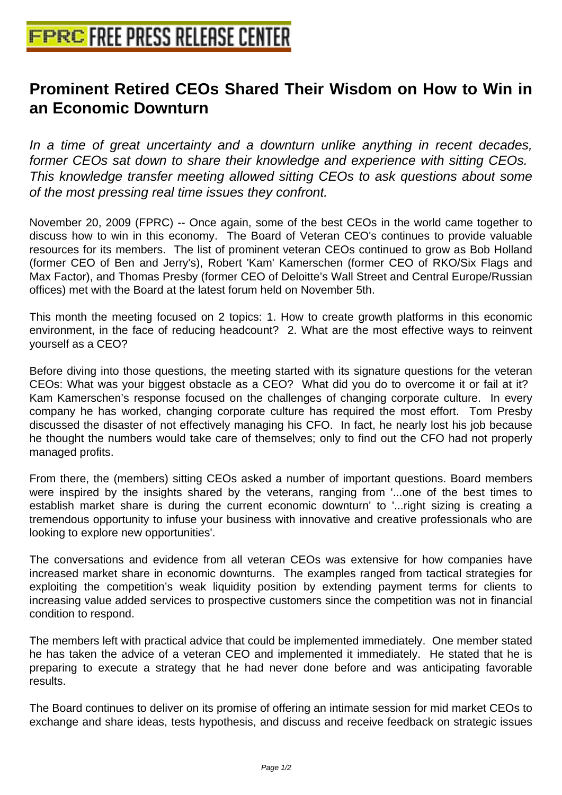## **[Prominent Retired CEOs Shared T](http://www.free-press-release-center.info)heir Wisdom on How to Win in an Economic Downturn**

In a time of great uncertainty and a downturn unlike anything in recent decades, former CEOs sat down to share their knowledge and experience with sitting CEOs. This knowledge transfer meeting allowed sitting CEOs to ask questions about some of the most pressing real time issues they confront.

November 20, 2009 (FPRC) -- Once again, some of the best CEOs in the world came together to discuss how to win in this economy. The Board of Veteran CEO's continues to provide valuable resources for its members. The list of prominent veteran CEOs continued to grow as Bob Holland (former CEO of Ben and Jerry's), Robert 'Kam' Kamerschen (former CEO of RKO/Six Flags and Max Factor), and Thomas Presby (former CEO of Deloitte's Wall Street and Central Europe/Russian offices) met with the Board at the latest forum held on November 5th.

This month the meeting focused on 2 topics: 1. How to create growth platforms in this economic environment, in the face of reducing headcount? 2. What are the most effective ways to reinvent yourself as a CEO?

Before diving into those questions, the meeting started with its signature questions for the veteran CEOs: What was your biggest obstacle as a CEO? What did you do to overcome it or fail at it? Kam Kamerschen's response focused on the challenges of changing corporate culture. In every company he has worked, changing corporate culture has required the most effort. Tom Presby discussed the disaster of not effectively managing his CFO. In fact, he nearly lost his job because he thought the numbers would take care of themselves; only to find out the CFO had not properly managed profits.

From there, the (members) sitting CEOs asked a number of important questions. Board members were inspired by the insights shared by the veterans, ranging from '...one of the best times to establish market share is during the current economic downturn' to '...right sizing is creating a tremendous opportunity to infuse your business with innovative and creative professionals who are looking to explore new opportunities'.

The conversations and evidence from all veteran CEOs was extensive for how companies have increased market share in economic downturns. The examples ranged from tactical strategies for exploiting the competition's weak liquidity position by extending payment terms for clients to increasing value added services to prospective customers since the competition was not in financial condition to respond.

The members left with practical advice that could be implemented immediately. One member stated he has taken the advice of a veteran CEO and implemented it immediately. He stated that he is preparing to execute a strategy that he had never done before and was anticipating favorable results.

The Board continues to deliver on its promise of offering an intimate session for mid market CEOs to exchange and share ideas, tests hypothesis, and discuss and receive feedback on strategic issues